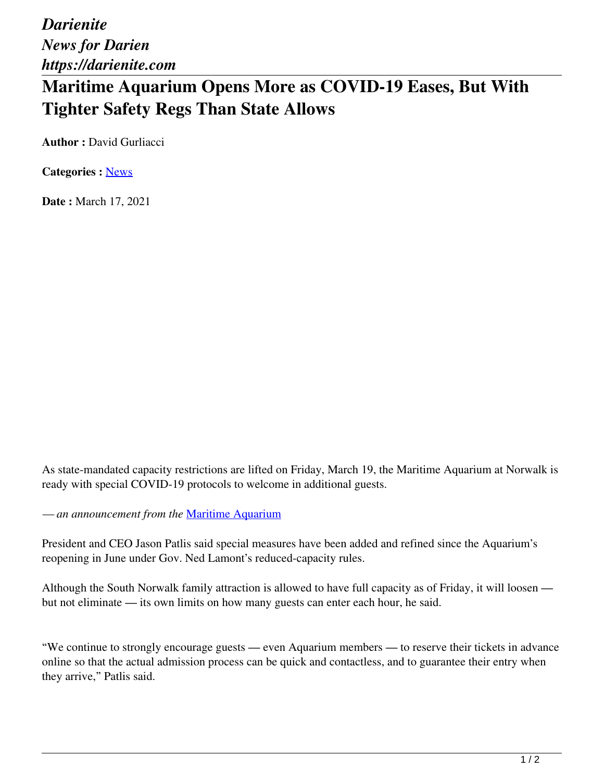*Darienite News for Darien https://darienite.com*

## **Maritime Aquarium Opens More as COVID-19 Eases, But With Tighter Safety Regs Than State Allows**

**Author : David Gurliacci** 

**Categories :** [News](https://darienite.com/category/news)

**Date :** March 17, 2021

As state-mandated capacity restrictions are lifted on Friday, March 19, the Maritime Aquarium at Norwalk is ready with special COVID-19 protocols to welcome in additional guests.

*— an announcement from the* Maritime Aquarium

President and CEO Jason Patlis said special measures have been added and refined since the Aquarium's reopening in June under Gov. Ned Lamont's reduced-capacity rules.

Although the South Norwalk family attraction is allowed to have full capacity as of Friday, it will loosen but not eliminate — its own limits on how many guests can enter each hour, he said.

"We continue to strongly encourage guests — even Aquarium members — to reserve their tickets in advance online so that the actual admission process can be quick and contactless, and to guarantee their entry when they arrive," Patlis said.